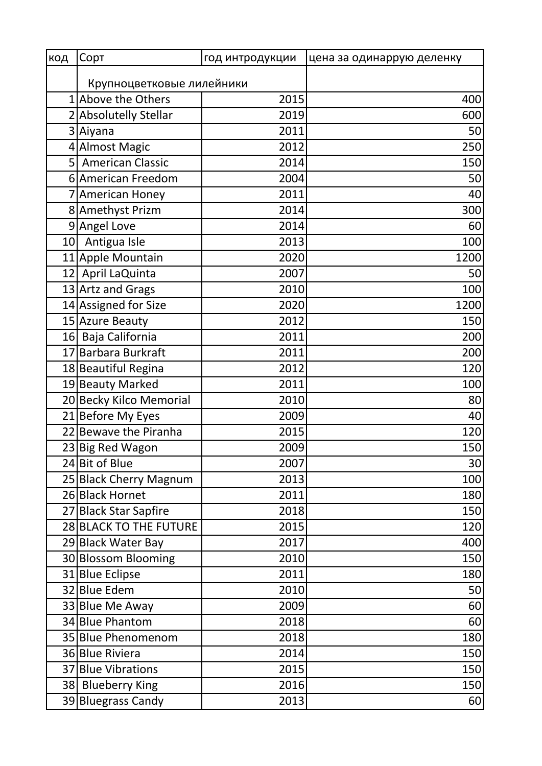| код | Сорт                      | год интродукции | цена за одинаррую деленку |
|-----|---------------------------|-----------------|---------------------------|
|     | Крупноцветковые лилейники |                 |                           |
|     | 1 Above the Others        | 2015            | 400                       |
|     | 2 Absolutelly Stellar     | 2019            | 600                       |
|     | 3 Aiyana                  | 2011            | 50                        |
|     | 4 Almost Magic            | 2012            | 250                       |
| 5   | <b>American Classic</b>   | 2014            | 150                       |
|     | 6 American Freedom        | 2004            | 50                        |
|     | 7 American Honey          | 2011            | 40                        |
|     | 8 Amethyst Prizm          | 2014            | 300                       |
| 9   | Angel Love                | 2014            | 60                        |
| 10  | Antigua Isle              | 2013            | 100                       |
|     | 11 Apple Mountain         | 2020            | 1200                      |
|     | 12 April LaQuinta         | 2007            | 50                        |
|     | 13 Artz and Grags         | 2010            | 100                       |
|     | 14 Assigned for Size      | 2020            | 1200                      |
|     | 15 Azure Beauty           | 2012            | 150                       |
|     | 16 Baja California        | 2011            | 200                       |
|     | 17 Barbara Burkraft       | 2011            | 200                       |
|     | 18 Beautiful Regina       | 2012            | 120                       |
|     | 19 Beauty Marked          | 2011            | 100                       |
|     | 20 Becky Kilco Memorial   | 2010            | 80                        |
|     | 21 Before My Eyes         | 2009            | 40                        |
|     | 22 Bewave the Piranha     | 2015            | 120                       |
|     | 23 Big Red Wagon          | 2009            | 150                       |
|     | 24 Bit of Blue            | 2007            | 30                        |
|     | 25 Black Cherry Magnum    | 2013            | 100                       |
|     | 26 Black Hornet           | 2011            | 180                       |
|     | 27 Black Star Sapfire     | 2018            | 150                       |
|     | 28 BLACK TO THE FUTURE    | 2015            | 120                       |
|     | 29 Black Water Bay        | 2017            | 400                       |
|     | 30 Blossom Blooming       | 2010            | 150                       |
|     | 31 Blue Eclipse           | 2011            | 180                       |
|     | 32 Blue Edem              | 2010            | 50                        |
|     | 33 Blue Me Away           | 2009            | 60                        |
|     | 34 Blue Phantom           | 2018            | 60                        |
|     | 35 Blue Phenomenom        | 2018            | 180                       |
|     | 36 Blue Riviera           | 2014            | 150                       |
|     | 37 Blue Vibrations        | 2015            | 150                       |
|     | 38 Blueberry King         | 2016            | 150                       |
|     | 39 Bluegrass Candy        | 2013            | 60                        |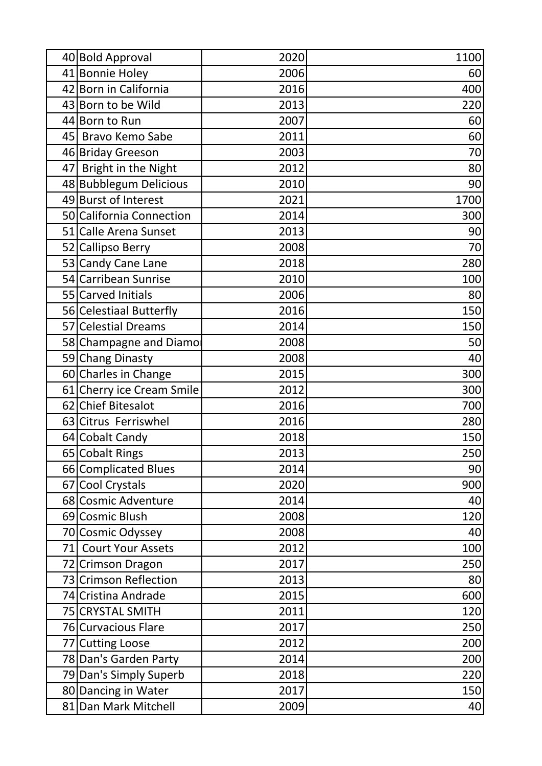|    | 40 Bold Approval          | 2020 | 1100 |
|----|---------------------------|------|------|
|    | 41 Bonnie Holey           | 2006 | 60   |
|    | 42 Born in California     | 2016 | 400  |
|    | 43 Born to be Wild        | 2013 | 220  |
|    | 44 Born to Run            | 2007 | 60   |
|    | 45 Bravo Kemo Sabe        | 2011 | 60   |
|    | 46 Briday Greeson         | 2003 | 70   |
|    | 47 Bright in the Night    | 2012 | 80   |
|    | 48 Bubblegum Delicious    | 2010 | 90   |
|    | 49 Burst of Interest      | 2021 | 1700 |
|    | 50 California Connection  | 2014 | 300  |
|    | 51 Calle Arena Sunset     | 2013 | 90   |
|    | 52 Callipso Berry         | 2008 | 70   |
|    | 53 Candy Cane Lane        | 2018 | 280  |
|    | 54 Carribean Sunrise      | 2010 | 100  |
|    | 55 Carved Initials        | 2006 | 80   |
|    | 56 Celestiaal Butterfly   | 2016 | 150  |
|    | 57 Celestial Dreams       | 2014 | 150  |
|    | 58 Champagne and Diamor   | 2008 | 50   |
|    | 59 Chang Dinasty          | 2008 | 40   |
|    | 60 Charles in Change      | 2015 | 300  |
|    | 61 Cherry ice Cream Smile | 2012 | 300  |
|    | 62 Chief Bitesalot        | 2016 | 700  |
|    | 63 Citrus Ferriswhel      | 2016 | 280  |
|    | 64 Cobalt Candy           | 2018 | 150  |
|    | 65 Cobalt Rings           | 2013 | 250  |
|    | 66 Complicated Blues      | 2014 | 90   |
|    | 67 Cool Crystals          | 2020 | 900  |
|    | 68 Cosmic Adventure       | 2014 | 40   |
|    | 69 Cosmic Blush           | 2008 | 120  |
|    | 70 Cosmic Odyssey         | 2008 | 40   |
| 71 | <b>Court Your Assets</b>  | 2012 | 100  |
|    | 72 Crimson Dragon         | 2017 | 250  |
|    | 73 Crimson Reflection     | 2013 | 80   |
|    | 74 Cristina Andrade       | 2015 | 600  |
|    | 75 CRYSTAL SMITH          | 2011 | 120  |
|    | 76 Curvacious Flare       | 2017 | 250  |
|    | 77 Cutting Loose          | 2012 | 200  |
|    | 78 Dan's Garden Party     | 2014 | 200  |
|    | 79 Dan's Simply Superb    | 2018 | 220  |
|    | 80 Dancing in Water       | 2017 | 150  |
|    | 81 Dan Mark Mitchell      | 2009 | 40   |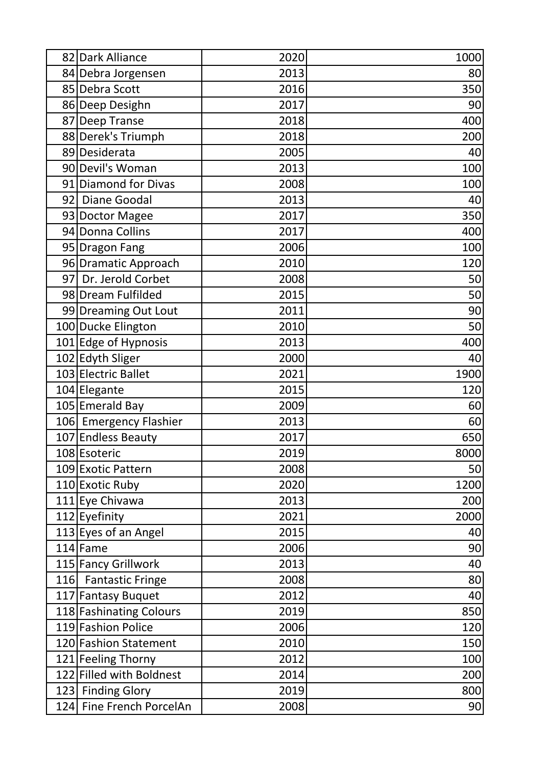|     | 82 Dark Alliance         | 2020 | 1000 |
|-----|--------------------------|------|------|
|     | 84 Debra Jorgensen       | 2013 | 80   |
|     | 85 Debra Scott           | 2016 | 350  |
|     | 86 Deep Desighn          | 2017 | 90   |
|     | 87 Deep Transe           | 2018 | 400  |
|     | 88 Derek's Triumph       | 2018 | 200  |
|     | 89 Desiderata            | 2005 | 40   |
|     | 90 Devil's Woman         | 2013 | 100  |
|     | 91 Diamond for Divas     | 2008 | 100  |
|     | 92 Diane Goodal          | 2013 | 40   |
|     | 93 Doctor Magee          | 2017 | 350  |
|     | 94 Donna Collins         | 2017 | 400  |
|     | 95 Dragon Fang           | 2006 | 100  |
|     | 96 Dramatic Approach     | 2010 | 120  |
|     | 97 Dr. Jerold Corbet     | 2008 | 50   |
|     | 98 Dream Fulfilded       | 2015 | 50   |
|     | 99 Dreaming Out Lout     | 2011 | 90   |
|     | 100 Ducke Elington       | 2010 | 50   |
|     | 101 Edge of Hypnosis     | 2013 | 400  |
|     | 102 Edyth Sliger         | 2000 | 40   |
|     | 103 Electric Ballet      | 2021 | 1900 |
|     | 104 Elegante             | 2015 | 120  |
|     | 105 Emerald Bay          | 2009 | 60   |
|     | 106 Emergency Flashier   | 2013 | 60   |
|     | 107 Endless Beauty       | 2017 | 650  |
|     | 108 Esoteric             | 2019 | 8000 |
|     | 109 Exotic Pattern       | 2008 | 50   |
|     | 110 Exotic Ruby          | 2020 | 1200 |
|     | 111 Eye Chivawa          | 2013 | 200  |
|     | 112 Eyefinity            | 2021 | 2000 |
|     | 113 Eyes of an Angel     | 2015 | 40   |
|     | $114$ Fame               | 2006 | 90   |
|     | 115 Fancy Grillwork      | 2013 | 40   |
| 116 | <b>Fantastic Fringe</b>  | 2008 | 80   |
|     | 117 Fantasy Buquet       | 2012 | 40   |
|     | 118 Fashinating Colours  | 2019 | 850  |
|     | 119 Fashion Police       | 2006 | 120  |
|     | 120 Fashion Statement    | 2010 | 150  |
|     | 121 Feeling Thorny       | 2012 | 100  |
|     | 122 Filled with Boldnest | 2014 | 200  |
|     | 123 Finding Glory        | 2019 | 800  |
|     | 124 Fine French PorcelAn | 2008 | 90   |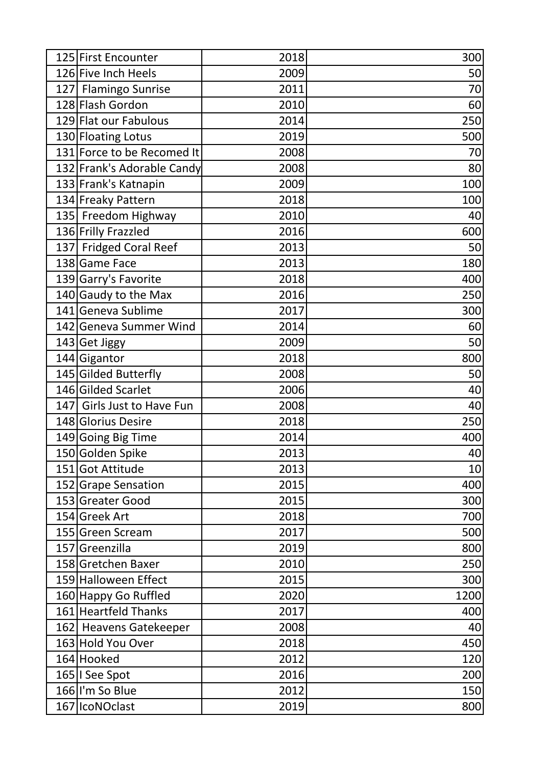| 125 First Encounter        | 2018 | 300  |
|----------------------------|------|------|
| 126 Five Inch Heels        | 2009 | 50   |
| 127 Flamingo Sunrise       | 2011 | 70   |
| 128 Flash Gordon           | 2010 | 60   |
| 129 Flat our Fabulous      | 2014 | 250  |
| 130 Floating Lotus         | 2019 | 500  |
| 131 Force to be Recomed It | 2008 | 70   |
| 132 Frank's Adorable Candy | 2008 | 80   |
| 133 Frank's Katnapin       | 2009 | 100  |
| 134 Freaky Pattern         | 2018 | 100  |
| 135 Freedom Highway        | 2010 | 40   |
| 136 Frilly Frazzled        | 2016 | 600  |
| 137 Fridged Coral Reef     | 2013 | 50   |
| 138 Game Face              | 2013 | 180  |
| 139 Garry's Favorite       | 2018 | 400  |
| 140 Gaudy to the Max       | 2016 | 250  |
| 141 Geneva Sublime         | 2017 | 300  |
| 142 Geneva Summer Wind     | 2014 | 60   |
| 143 Get Jiggy              | 2009 | 50   |
| 144 Gigantor               | 2018 | 800  |
| 145 Gilded Butterfly       | 2008 | 50   |
| 146 Gilded Scarlet         | 2006 | 40   |
| 147 Girls Just to Have Fun | 2008 | 40   |
| 148 Glorius Desire         | 2018 | 250  |
| 149 Going Big Time         | 2014 | 400  |
| 150 Golden Spike           | 2013 | 40   |
| 151 Got Attitude           | 2013 | 10   |
| 152 Grape Sensation        | 2015 | 400  |
| 153 Greater Good           | 2015 | 300  |
| 154 Greek Art              | 2018 | 700  |
| 155 Green Scream           | 2017 | 500  |
| 157 Greenzilla             | 2019 | 800  |
| 158 Gretchen Baxer         | 2010 | 250  |
| 159 Halloween Effect       | 2015 | 300  |
| 160 Happy Go Ruffled       | 2020 | 1200 |
| 161 Heartfeld Thanks       | 2017 | 400  |
| 162 Heavens Gatekeeper     | 2008 | 40   |
| 163 Hold You Over          | 2018 | 450  |
| 164 Hooked                 | 2012 | 120  |
| 165   See Spot             | 2016 | 200  |
| 166 I'm So Blue            | 2012 | 150  |
| 167 IcoNOclast             | 2019 | 800  |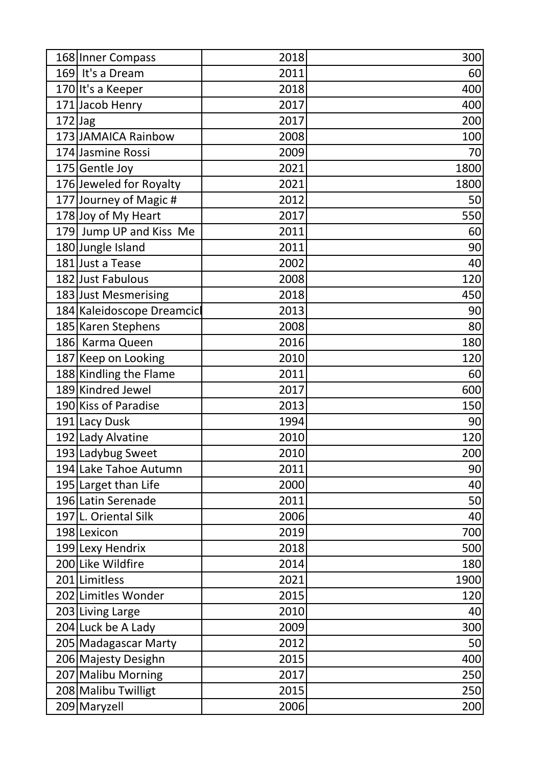|           | 168 Inner Compass          | 2018 | 300  |
|-----------|----------------------------|------|------|
|           | 169 It's a Dream           | 2011 | 60   |
|           | 170 It's a Keeper          | 2018 | 400  |
|           | 171 Jacob Henry            | 2017 | 400  |
| $172$ Jag |                            | 2017 | 200  |
|           | 173 JAMAICA Rainbow        | 2008 | 100  |
|           | 174 Jasmine Rossi          | 2009 | 70   |
|           | 175 Gentle Joy             | 2021 | 1800 |
|           | 176 Jeweled for Royalty    | 2021 | 1800 |
|           | 177 Journey of Magic #     | 2012 | 50   |
|           | 178 Joy of My Heart        | 2017 | 550  |
|           | 179 Jump UP and Kiss Me    | 2011 | 60   |
|           | 180 Jungle Island          | 2011 | 90   |
|           | 181 Just a Tease           | 2002 | 40   |
|           | 182 Just Fabulous          | 2008 | 120  |
|           | 183 Just Mesmerising       | 2018 | 450  |
|           | 184 Kaleidoscope Dreamcicl | 2013 | 90   |
|           | 185 Karen Stephens         | 2008 | 80   |
|           | 186 Karma Queen            | 2016 | 180  |
|           | 187 Keep on Looking        | 2010 | 120  |
|           | 188 Kindling the Flame     | 2011 | 60   |
|           | 189 Kindred Jewel          | 2017 | 600  |
|           | 190 Kiss of Paradise       | 2013 | 150  |
|           | 191 Lacy Dusk              | 1994 | 90   |
|           | 192 Lady Alvatine          | 2010 | 120  |
|           | 193 Ladybug Sweet          | 2010 | 200  |
|           | 194 Lake Tahoe Autumn      | 2011 | 90   |
|           | 195 Larget than Life       | 2000 | 40   |
|           | 196 Latin Serenade         | 2011 | 50   |
|           | 197 L. Oriental Silk       | 2006 | 40   |
|           | 198 Lexicon                | 2019 | 700  |
|           | 199 Lexy Hendrix           | 2018 | 500  |
|           | 200 Like Wildfire          | 2014 | 180  |
|           | 201 Limitless              | 2021 | 1900 |
|           | 202 Limitles Wonder        | 2015 | 120  |
|           | 203 Living Large           | 2010 | 40   |
|           | 204 Luck be A Lady         | 2009 | 300  |
|           | 205 Madagascar Marty       | 2012 | 50   |
|           | 206 Majesty Desighn        | 2015 | 400  |
|           | 207 Malibu Morning         | 2017 | 250  |
|           | 208 Malibu Twilligt        | 2015 | 250  |
|           | 209 Maryzell               | 2006 | 200  |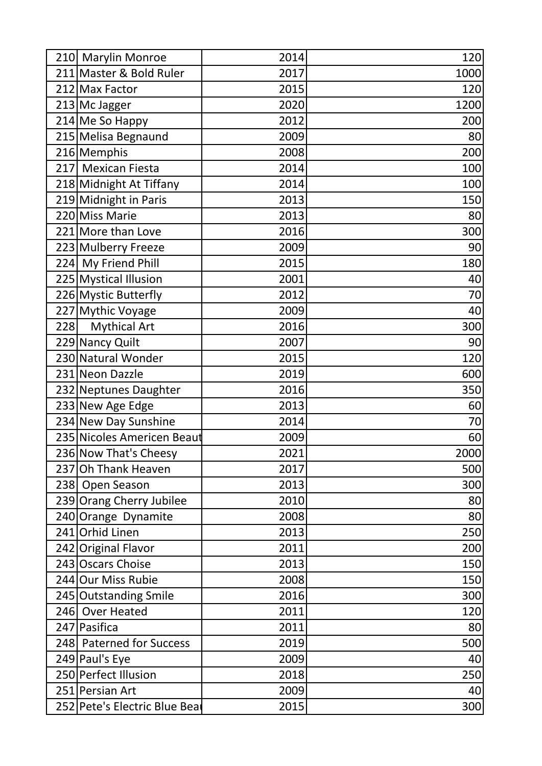|     | 210 Marylin Monroe            | 2014 | 120  |
|-----|-------------------------------|------|------|
|     | 211 Master & Bold Ruler       | 2017 | 1000 |
|     | 212 Max Factor                | 2015 | 120  |
|     | 213 Mc Jagger                 | 2020 | 1200 |
|     | 214 Me So Happy               | 2012 | 200  |
|     | 215 Melisa Begnaund           | 2009 | 80   |
|     | 216 Memphis                   | 2008 | 200  |
|     | 217 Mexican Fiesta            | 2014 | 100  |
|     | 218 Midnight At Tiffany       | 2014 | 100  |
|     | 219 Midnight in Paris         | 2013 | 150  |
|     | 220 Miss Marie                | 2013 | 80   |
|     | 221 More than Love            | 2016 | 300  |
|     | 223 Mulberry Freeze           | 2009 | 90   |
|     | 224 My Friend Phill           | 2015 | 180  |
|     | 225 Mystical Illusion         | 2001 | 40   |
|     | 226 Mystic Butterfly          | 2012 | 70   |
|     | 227 Mythic Voyage             | 2009 | 40   |
| 228 | <b>Mythical Art</b>           | 2016 | 300  |
|     | 229 Nancy Quilt               | 2007 | 90   |
|     | 230 Natural Wonder            | 2015 | 120  |
|     | 231 Neon Dazzle               | 2019 | 600  |
|     | 232 Neptunes Daughter         | 2016 | 350  |
|     | 233 New Age Edge              | 2013 | 60   |
|     | 234 New Day Sunshine          | 2014 | 70   |
|     | 235 Nicoles Americen Beaut    | 2009 | 60   |
|     | 236 Now That's Cheesy         | 2021 | 2000 |
|     | 237 Oh Thank Heaven           | 2017 | 500  |
|     | 238 Open Season               | 2013 | 300  |
|     | 239 Orang Cherry Jubilee      | 2010 | 80   |
|     | 240 Orange Dynamite           | 2008 | 80   |
|     | 241 Orhid Linen               | 2013 | 250  |
|     | 242 Original Flavor           | 2011 | 200  |
|     | 243 Oscars Choise             | 2013 | 150  |
|     | 244 Our Miss Rubie            | 2008 | 150  |
|     | 245 Outstanding Smile         | 2016 | 300  |
|     | 246 Over Heated               | 2011 | 120  |
|     | 247 Pasifica                  | 2011 | 80   |
|     | 248 Paterned for Success      | 2019 | 500  |
|     | 249 Paul's Eye                | 2009 | 40   |
|     | 250 Perfect Illusion          | 2018 | 250  |
|     | 251 Persian Art               | 2009 | 40   |
|     | 252 Pete's Electric Blue Beat | 2015 | 300  |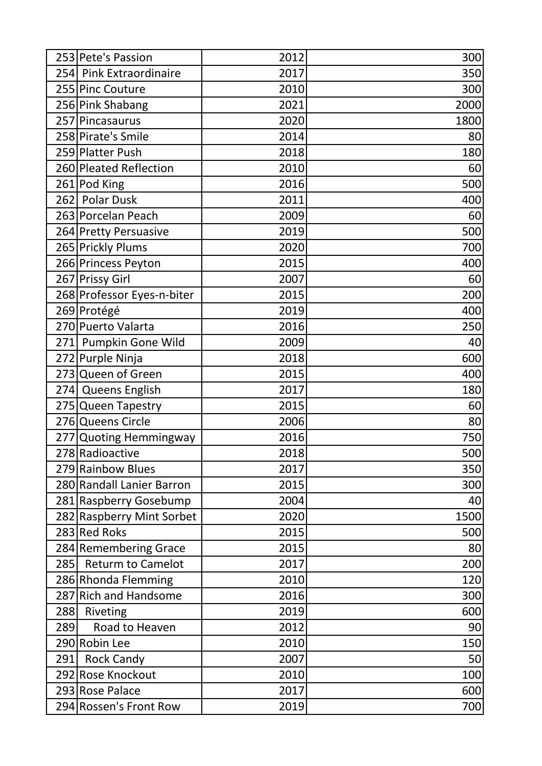|     | 253 Pete's Passion         | 2012 | 300  |
|-----|----------------------------|------|------|
|     | 254 Pink Extraordinaire    | 2017 | 350  |
|     | 255 Pinc Couture           | 2010 | 300  |
|     | 256 Pink Shabang           | 2021 | 2000 |
|     | 257 Pincasaurus            | 2020 | 1800 |
|     | 258 Pirate's Smile         | 2014 | 80   |
|     | 259 Platter Push           | 2018 | 180  |
|     | 260 Pleated Reflection     | 2010 | 60   |
|     | 261 Pod King               | 2016 | 500  |
|     | 262 Polar Dusk             | 2011 | 400  |
|     | 263 Porcelan Peach         | 2009 | 60   |
|     | 264 Pretty Persuasive      | 2019 | 500  |
|     | 265 Prickly Plums          | 2020 | 700  |
|     | 266 Princess Peyton        | 2015 | 400  |
|     | 267 Prissy Girl            | 2007 | 60   |
|     | 268 Professor Eyes-n-biter | 2015 | 200  |
|     | 269 Protégé                | 2019 | 400  |
|     | 270 Puerto Valarta         | 2016 | 250  |
|     | 271 Pumpkin Gone Wild      | 2009 | 40   |
|     | 272 Purple Ninja           | 2018 | 600  |
|     | 273 Queen of Green         | 2015 | 400  |
|     | 274 Queens English         | 2017 | 180  |
|     | 275 Queen Tapestry         | 2015 | 60   |
|     | 276 Queens Circle          | 2006 | 80   |
|     | 277 Quoting Hemmingway     | 2016 | 750  |
|     | 278 Radioactive            | 2018 | 500  |
|     | 279 Rainbow Blues          | 2017 | 350  |
|     | 280 Randall Lanier Barron  | 2015 | 300  |
|     | 281 Raspberry Gosebump     | 2004 | 40   |
|     | 282 Raspberry Mint Sorbet  | 2020 | 1500 |
|     | 283 Red Roks               | 2015 | 500  |
|     | 284 Remembering Grace      | 2015 | 80   |
| 285 | <b>Returm to Camelot</b>   | 2017 | 200  |
|     | 286 Rhonda Flemming        | 2010 | 120  |
|     | 287 Rich and Handsome      | 2016 | 300  |
| 288 | Riveting                   | 2019 | 600  |
| 289 | Road to Heaven             | 2012 | 90   |
|     | 290 Robin Lee              | 2010 | 150  |
| 291 | <b>Rock Candy</b>          | 2007 | 50   |
|     | 292 Rose Knockout          | 2010 | 100  |
|     | 293 Rose Palace            | 2017 | 600  |
|     | 294 Rossen's Front Row     | 2019 | 700  |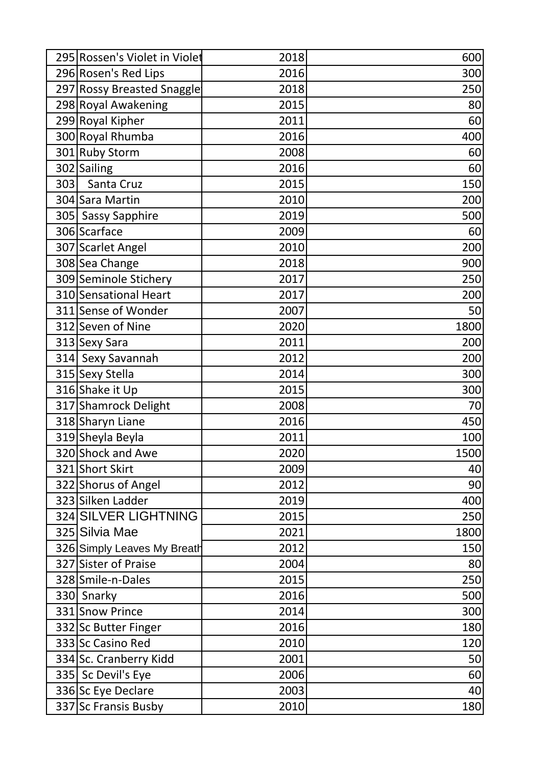|     | 295 Rossen's Violet in Violet | 2018 | 600  |
|-----|-------------------------------|------|------|
|     | 296 Rosen's Red Lips          | 2016 | 300  |
|     | 297 Rossy Breasted Snaggle    | 2018 | 250  |
|     | 298 Royal Awakening           | 2015 | 80   |
|     | 299 Royal Kipher              | 2011 | 60   |
|     | 300 Royal Rhumba              | 2016 | 400  |
|     | 301 Ruby Storm                | 2008 | 60   |
|     | 302 Sailing                   | 2016 | 60   |
| 303 | Santa Cruz                    | 2015 | 150  |
|     | 304 Sara Martin               | 2010 | 200  |
|     | 305 Sassy Sapphire            | 2019 | 500  |
|     | 306 Scarface                  | 2009 | 60   |
|     | 307 Scarlet Angel             | 2010 | 200  |
|     | 308 Sea Change                | 2018 | 900  |
|     | 309 Seminole Stichery         | 2017 | 250  |
|     | 310 Sensational Heart         | 2017 | 200  |
|     | 311 Sense of Wonder           | 2007 | 50   |
|     | 312 Seven of Nine             | 2020 | 1800 |
|     | 313 Sexy Sara                 | 2011 | 200  |
|     | 314 Sexy Savannah             | 2012 | 200  |
|     | 315 Sexy Stella               | 2014 | 300  |
|     | 316 Shake it Up               | 2015 | 300  |
|     | 317 Shamrock Delight          | 2008 | 70   |
|     | 318 Sharyn Liane              | 2016 | 450  |
|     | 319 Sheyla Beyla              | 2011 | 100  |
|     | 320 Shock and Awe             | 2020 | 1500 |
|     | 321 Short Skirt               | 2009 | 40   |
|     | 322 Shorus of Angel           | 2012 | 90   |
|     | 323 Silken Ladder             | 2019 | 400  |
|     | 324 SILVER LIGHTNING          | 2015 | 250  |
|     | 325 Silvia Mae                | 2021 | 1800 |
|     | 326 Simply Leaves My Breath   | 2012 | 150  |
|     | 327 Sister of Praise          | 2004 | 80   |
|     | 328 Smile-n-Dales             | 2015 | 250  |
|     | 330 Snarky                    | 2016 | 500  |
|     | 331 Snow Prince               | 2014 | 300  |
|     | 332 Sc Butter Finger          | 2016 | 180  |
|     | 333 Sc Casino Red             | 2010 | 120  |
|     | 334 Sc. Cranberry Kidd        | 2001 | 50   |
|     | 335 Sc Devil's Eye            | 2006 | 60   |
|     | 336 Sc Eye Declare            | 2003 | 40   |
|     | 337 Sc Fransis Busby          | 2010 | 180  |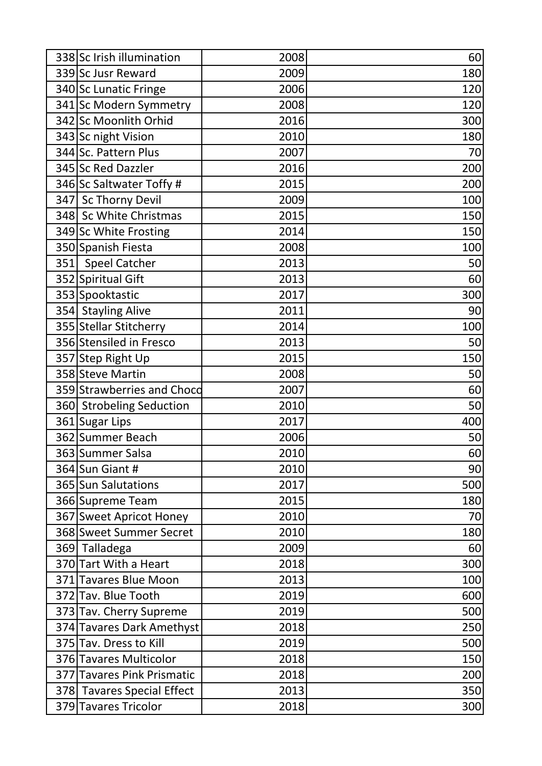| 338 Sc Irish illumination  | 2008 | 60  |
|----------------------------|------|-----|
| 339 Sc Jusr Reward         | 2009 | 180 |
| 340 Sc Lunatic Fringe      | 2006 | 120 |
| 341 Sc Modern Symmetry     | 2008 | 120 |
| 342 Sc Moonlith Orhid      | 2016 | 300 |
| 343 Sc night Vision        | 2010 | 180 |
| 344 Sc. Pattern Plus       | 2007 | 70  |
| 345 Sc Red Dazzler         | 2016 | 200 |
| 346 Sc Saltwater Toffy #   | 2015 | 200 |
| 347 Sc Thorny Devil        | 2009 | 100 |
| 348 Sc White Christmas     | 2015 | 150 |
| 349 Sc White Frosting      | 2014 | 150 |
| 350 Spanish Fiesta         | 2008 | 100 |
| 351 Speel Catcher          | 2013 | 50  |
| 352 Spiritual Gift         | 2013 | 60  |
| 353 Spooktastic            | 2017 | 300 |
| 354 Stayling Alive         | 2011 | 90  |
| 355 Stellar Stitcherry     | 2014 | 100 |
| 356 Stensiled in Fresco    | 2013 | 50  |
| 357 Step Right Up          | 2015 | 150 |
| 358 Steve Martin           | 2008 | 50  |
| 359 Strawberries and Chocd | 2007 | 60  |
| 360 Strobeling Seduction   | 2010 | 50  |
| 361 Sugar Lips             | 2017 | 400 |
| 362 Summer Beach           | 2006 | 50  |
| 363 Summer Salsa           | 2010 | 60  |
| 364 Sun Giant #            | 2010 | 90  |
| 365 Sun Salutations        | 2017 | 500 |
| 366 Supreme Team           | 2015 | 180 |
| 367 Sweet Apricot Honey    | 2010 | 70  |
| 368 Sweet Summer Secret    | 2010 | 180 |
| 369 Talladega              | 2009 | 60  |
| 370 Tart With a Heart      | 2018 | 300 |
| 371 Tavares Blue Moon      | 2013 | 100 |
| 372 Tav. Blue Tooth        | 2019 | 600 |
| 373 Tav. Cherry Supreme    | 2019 | 500 |
| 374 Tavares Dark Amethyst  | 2018 | 250 |
| 375 Tav. Dress to Kill     | 2019 | 500 |
| 376 Tavares Multicolor     | 2018 | 150 |
| 377 Tavares Pink Prismatic | 2018 | 200 |
| 378 Tavares Special Effect | 2013 | 350 |
| 379 Tavares Tricolor       | 2018 | 300 |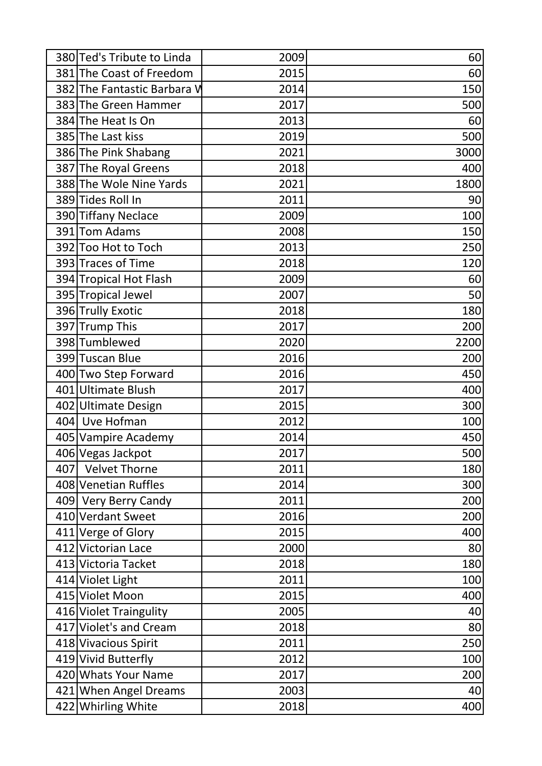|     | 380 Ted's Tribute to Linda  | 2009 | 60   |
|-----|-----------------------------|------|------|
|     | 381 The Coast of Freedom    | 2015 | 60   |
|     | 382 The Fantastic Barbara V | 2014 | 150  |
|     | 383 The Green Hammer        | 2017 | 500  |
|     | 384 The Heat Is On          | 2013 | 60   |
|     | 385 The Last kiss           | 2019 | 500  |
|     | 386 The Pink Shabang        | 2021 | 3000 |
|     | 387 The Royal Greens        | 2018 | 400  |
|     | 388 The Wole Nine Yards     | 2021 | 1800 |
|     | 389 Tides Roll In           | 2011 | 90   |
|     | 390 Tiffany Neclace         | 2009 | 100  |
|     | 391 Tom Adams               | 2008 | 150  |
|     | 392 Too Hot to Toch         | 2013 | 250  |
|     | 393 Traces of Time          | 2018 | 120  |
|     | 394 Tropical Hot Flash      | 2009 | 60   |
|     | 395 Tropical Jewel          | 2007 | 50   |
|     | 396 Trully Exotic           | 2018 | 180  |
|     | 397 Trump This              | 2017 | 200  |
|     | 398 Tumblewed               | 2020 | 2200 |
|     | 399 Tuscan Blue             | 2016 | 200  |
|     | 400 Two Step Forward        | 2016 | 450  |
|     | 401 Ultimate Blush          | 2017 | 400  |
|     | 402 Ultimate Design         | 2015 | 300  |
|     | 404 Uve Hofman              | 2012 | 100  |
|     | 405 Vampire Academy         | 2014 | 450  |
|     | 406 Vegas Jackpot           | 2017 | 500  |
| 407 | <b>Velvet Thorne</b>        | 2011 | 180  |
|     | 408 Venetian Ruffles        | 2014 | 300  |
|     | 409 Very Berry Candy        | 2011 | 200  |
|     | 410 Verdant Sweet           | 2016 | 200  |
|     | 411 Verge of Glory          | 2015 | 400  |
|     | 412 Victorian Lace          | 2000 | 80   |
|     | 413 Victoria Tacket         | 2018 | 180  |
|     | 414 Violet Light            | 2011 | 100  |
|     | 415 Violet Moon             | 2015 | 400  |
|     | 416 Violet Traingulity      | 2005 | 40   |
|     | 417 Violet's and Cream      | 2018 | 80   |
|     | 418 Vivacious Spirit        | 2011 | 250  |
|     | 419 Vivid Butterfly         | 2012 | 100  |
|     | 420 Whats Your Name         | 2017 | 200  |
|     | 421 When Angel Dreams       | 2003 | 40   |
|     | 422 Whirling White          | 2018 | 400  |